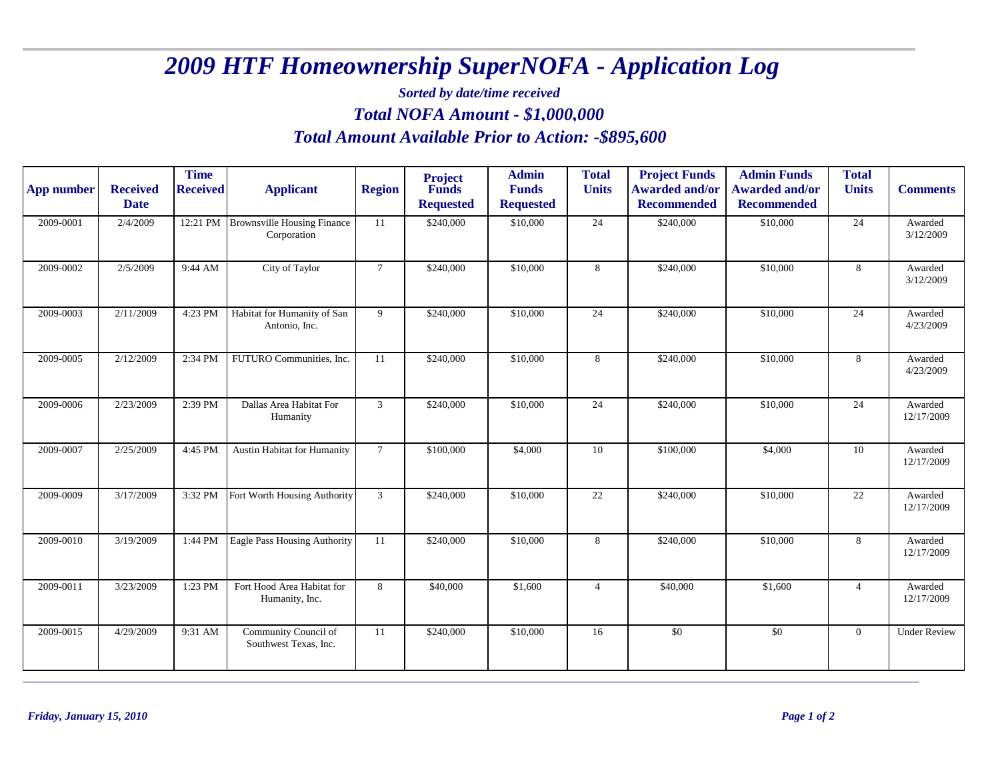## *2009 HTF Homeownership SuperNOFA - Application Log*

*Sorted by date/time received*

*Total NOFA Amount - \$ 1,000,000*

## *Total Amount Available Prior to Action: -\$895,600*

| <b>App number</b> | <b>Received</b><br><b>Date</b> | <b>Time</b><br><b>Received</b> | <b>Applicant</b>                                  | <b>Region</b>   | <b>Project</b><br><b>Funds</b><br><b>Requested</b> | <b>Admin</b><br><b>Funds</b><br><b>Requested</b> | <b>Total</b><br><b>Units</b> | <b>Project Funds</b><br><b>Awarded and/or</b><br><b>Recommended</b> | <b>Admin Funds</b><br><b>Awarded and/or</b><br><b>Recommended</b> | <b>Total</b><br><b>Units</b> | <b>Comments</b>       |
|-------------------|--------------------------------|--------------------------------|---------------------------------------------------|-----------------|----------------------------------------------------|--------------------------------------------------|------------------------------|---------------------------------------------------------------------|-------------------------------------------------------------------|------------------------------|-----------------------|
| 2009-0001         | 2/4/2009                       | 12:21 PM                       | <b>Brownsville Housing Finance</b><br>Corporation | 11              | \$240,000                                          | \$10,000                                         | 24                           | \$240,000                                                           | \$10,000                                                          | 24                           | Awarded<br>3/12/2009  |
| 2009-0002         | 2/5/2009                       | 9:44 AM                        | City of Taylor                                    | $\tau$          | \$240,000                                          | \$10,000                                         | 8                            | \$240,000                                                           | \$10,000                                                          | 8                            | Awarded<br>3/12/2009  |
| 2009-0003         | 2/11/2009                      | 4:23 PM                        | Habitat for Humanity of San<br>Antonio, Inc.      | 9               | \$240,000                                          | \$10,000                                         | 24                           | \$240,000                                                           | \$10,000                                                          | 24                           | Awarded<br>4/23/2009  |
| 2009-0005         | 2/12/2009                      | 2:34 PM                        | FUTURO Communities, Inc.                          | 11              | \$240,000                                          | \$10,000                                         | 8                            | \$240,000                                                           | \$10,000                                                          | 8                            | Awarded<br>4/23/2009  |
| 2009-0006         | 2/23/2009                      | 2:39 PM                        | Dallas Area Habitat For<br>Humanity               | 3               | \$240,000                                          | \$10,000                                         | 24                           | \$240,000                                                           | \$10,000                                                          | 24                           | Awarded<br>12/17/2009 |
| 2009-0007         | 2/25/2009                      | 4:45 PM                        | Austin Habitat for Humanity                       | $7\overline{ }$ | \$100,000                                          | \$4,000                                          | 10                           | \$100,000                                                           | \$4,000                                                           | 10                           | Awarded<br>12/17/2009 |
| 2009-0009         | 3/17/2009                      | 3:32 PM                        | Fort Worth Housing Authority                      | $\mathfrak{Z}$  | \$240,000                                          | \$10,000                                         | 22                           | \$240,000                                                           | \$10,000                                                          | $\overline{22}$              | Awarded<br>12/17/2009 |
| 2009-0010         | 3/19/2009                      | 1:44 PM                        | Eagle Pass Housing Authority                      | 11              | \$240,000                                          | \$10,000                                         | 8                            | \$240,000                                                           | \$10,000                                                          | 8                            | Awarded<br>12/17/2009 |
| 2009-0011         | 3/23/2009                      | 1:23 PM                        | Fort Hood Area Habitat for<br>Humanity, Inc.      | 8               | \$40,000                                           | \$1,600                                          | $\overline{4}$               | \$40,000                                                            | \$1,600                                                           | $\overline{4}$               | Awarded<br>12/17/2009 |
| $2009 - 0015$     | 4/29/2009                      | 9:31 AM                        | Community Council of<br>Southwest Texas, Inc.     | 11              | \$240,000                                          | \$10,000                                         | 16                           | $\overline{50}$                                                     | \$0                                                               | $\overline{0}$               | <b>Under Review</b>   |